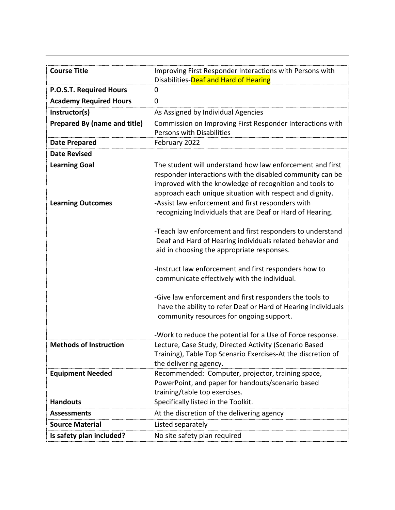| <b>Course Title</b>                 | Improving First Responder Interactions with Persons with                                                                                                                          |  |
|-------------------------------------|-----------------------------------------------------------------------------------------------------------------------------------------------------------------------------------|--|
|                                     | Disabilities-Deaf and Hard of Hearing                                                                                                                                             |  |
| P.O.S.T. Required Hours             | 0                                                                                                                                                                                 |  |
| <b>Academy Required Hours</b>       | 0                                                                                                                                                                                 |  |
| Instructor(s)                       | As Assigned by Individual Agencies                                                                                                                                                |  |
| <b>Prepared By (name and title)</b> | Commission on Improving First Responder Interactions with                                                                                                                         |  |
|                                     | <b>Persons with Disabilities</b>                                                                                                                                                  |  |
| <b>Date Prepared</b>                | February 2022                                                                                                                                                                     |  |
| <b>Date Revised</b>                 |                                                                                                                                                                                   |  |
| <b>Learning Goal</b>                | The student will understand how law enforcement and first<br>responder interactions with the disabled community can be<br>improved with the knowledge of recognition and tools to |  |
|                                     | approach each unique situation with respect and dignity.                                                                                                                          |  |
| <b>Learning Outcomes</b>            | -Assist law enforcement and first responders with<br>recognizing Individuals that are Deaf or Hard of Hearing.                                                                    |  |
|                                     | -Teach law enforcement and first responders to understand<br>Deaf and Hard of Hearing individuals related behavior and<br>aid in choosing the appropriate responses.              |  |
|                                     | -Instruct law enforcement and first responders how to<br>communicate effectively with the individual.                                                                             |  |
|                                     | -Give law enforcement and first responders the tools to<br>have the ability to refer Deaf or Hard of Hearing individuals<br>community resources for ongoing support.              |  |
|                                     | -Work to reduce the potential for a Use of Force response.                                                                                                                        |  |
| <b>Methods of Instruction</b>       | Lecture, Case Study, Directed Activity (Scenario Based<br>Training), Table Top Scenario Exercises-At the discretion of<br>the delivering agency.                                  |  |
| <b>Equipment Needed</b>             | Recommended: Computer, projector, training space,<br>PowerPoint, and paper for handouts/scenario based<br>training/table top exercises.                                           |  |
| <b>Handouts</b>                     | Specifically listed in the Toolkit.                                                                                                                                               |  |
| <b>Assessments</b>                  | At the discretion of the delivering agency                                                                                                                                        |  |
| <b>Source Material</b>              | Listed separately                                                                                                                                                                 |  |
| Is safety plan included?            | No site safety plan required                                                                                                                                                      |  |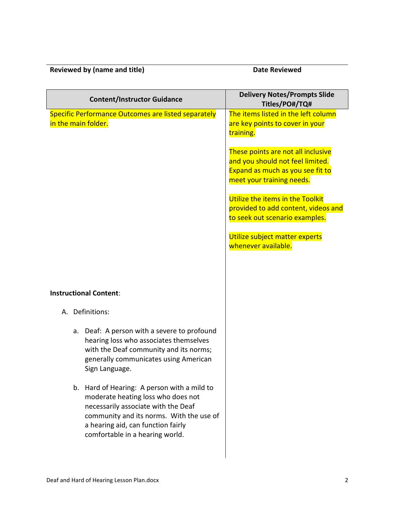## **Reviewed by (name and title)** Date Reviewed

| <b>Content/Instructor Guidance</b>                                                                                                                                                                                                            | <b>Delivery Notes/Prompts Slide</b><br>Titles/PO#/TQ#                                                                                   |
|-----------------------------------------------------------------------------------------------------------------------------------------------------------------------------------------------------------------------------------------------|-----------------------------------------------------------------------------------------------------------------------------------------|
| Specific Performance Outcomes are listed separately<br>in the main folder.                                                                                                                                                                    | The items listed in the left column<br>are key points to cover in your<br>training.                                                     |
|                                                                                                                                                                                                                                               | These points are not all inclusive<br>and you should not feel limited.<br>Expand as much as you see fit to<br>meet your training needs. |
|                                                                                                                                                                                                                                               | Utilize the items in the Toolkit<br>provided to add content, videos and<br>to seek out scenario examples.                               |
|                                                                                                                                                                                                                                               | Utilize subject matter experts<br>whenever available.                                                                                   |
| <b>Instructional Content:</b>                                                                                                                                                                                                                 |                                                                                                                                         |
| A. Definitions:                                                                                                                                                                                                                               |                                                                                                                                         |
| a. Deaf: A person with a severe to profound<br>hearing loss who associates themselves<br>with the Deaf community and its norms;<br>generally communicates using American<br>Sign Language.                                                    |                                                                                                                                         |
| b. Hard of Hearing: A person with a mild to<br>moderate heating loss who does not<br>necessarily associate with the Deaf<br>community and its norms. With the use of<br>a hearing aid, can function fairly<br>comfortable in a hearing world. |                                                                                                                                         |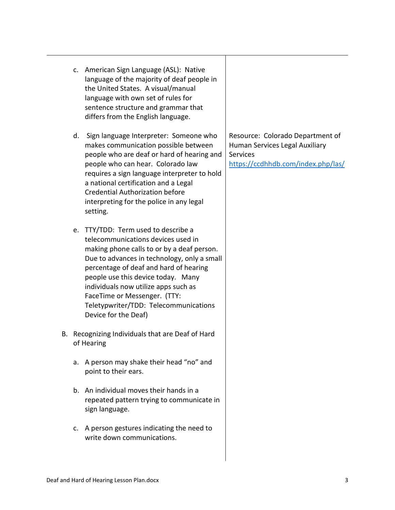- c. American Sign Language (ASL): Native language of the majority of deaf people in the United States. A visual/manual language with own set of rules for sentence structure and grammar that differs from the English language.
- d. Sign language Interpreter: Someone who makes communication possible between people who are deaf or hard of hearing and people who can hear. Colorado law requires a sign language interpreter to hold a national certification and a Legal Credential Authorization before interpreting for the police in any legal setting.
- e. TTY/TDD: Term used to describe a telecommunications devices used in making phone calls to or by a deaf person. Due to advances in technology, only a small percentage of deaf and hard of hearing people use this device today. Many individuals now utilize apps such as FaceTime or Messenger. (TTY: Teletypwriter/TDD: Telecommunications Device for the Deaf)
- B. Recognizing Individuals that are Deaf of Hard of Hearing
	- a. A person may shake their head "no" and point to their ears.
	- b. An individual moves their hands in a repeated pattern trying to communicate in sign language.
	- c. A person gestures indicating the need to write down communications.

Resource: Colorado Department of Human Services Legal Auxiliary **Services** <https://ccdhhdb.com/index.php/las/>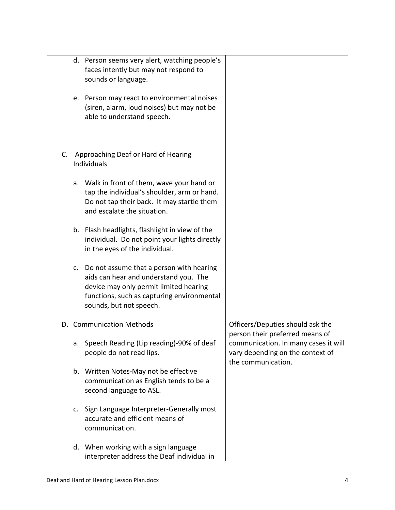|    | d. Person seems very alert, watching people's<br>faces intently but may not respond to<br>sounds or language.                                                                                        |                                                                                                |
|----|------------------------------------------------------------------------------------------------------------------------------------------------------------------------------------------------------|------------------------------------------------------------------------------------------------|
|    | e. Person may react to environmental noises<br>(siren, alarm, loud noises) but may not be<br>able to understand speech.                                                                              |                                                                                                |
| C. | Approaching Deaf or Hard of Hearing<br>Individuals                                                                                                                                                   |                                                                                                |
| а. | Walk in front of them, wave your hand or<br>tap the individual's shoulder, arm or hand.<br>Do not tap their back. It may startle them<br>and escalate the situation.                                 |                                                                                                |
|    | b. Flash headlights, flashlight in view of the<br>individual. Do not point your lights directly<br>in the eyes of the individual.                                                                    |                                                                                                |
| c. | Do not assume that a person with hearing<br>aids can hear and understand you. The<br>device may only permit limited hearing<br>functions, such as capturing environmental<br>sounds, but not speech. |                                                                                                |
|    | D. Communication Methods                                                                                                                                                                             | Officers/Deputies should ask the<br>person their preferred means of                            |
|    | a. Speech Reading (Lip reading)-90% of deaf<br>people do not read lips.                                                                                                                              | communication. In many cases it will<br>vary depending on the context of<br>the communication. |
|    | b. Written Notes-May not be effective<br>communication as English tends to be a<br>second language to ASL.                                                                                           |                                                                                                |
| c. | Sign Language Interpreter-Generally most<br>accurate and efficient means of<br>communication.                                                                                                        |                                                                                                |
|    | d. When working with a sign language<br>interpreter address the Deaf individual in                                                                                                                   |                                                                                                |